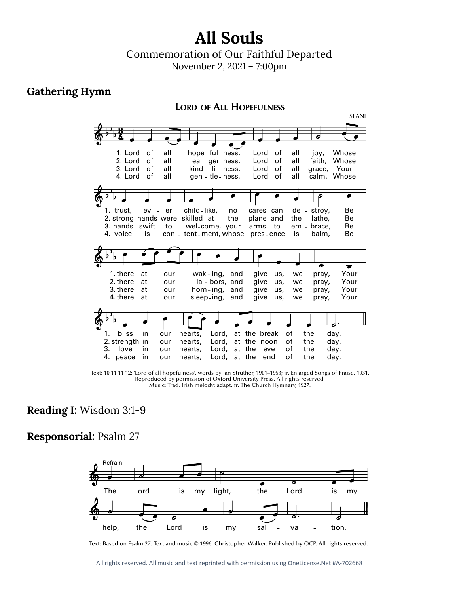# **All Souls**

## Commemoration of Our Faithful Departed

November 2, 2021 – 7:00pm

#### **Gathering Hymn**



Text: 10 11 11 12; 'Lord of all hopefulness', words by Jan Struther, 1901–1953; fr. Enlarged Songs of Praise, 1931. Reproduced by permission of Oxford University Press. All rights reserved. Music: Trad. Irish melody; adapt. fr. The Church Hymnary, 1927. God one. rors<br>Iodv ing the state of the state of the state of the state of the state of the state of the state of the state of the state of the state of the state of the state of the state of the state of the state of the state of the state unver:<br>fr:The ית.<br>DHvi at the ssei<br>27

#### **Reading I:** Wisdom 3:1-9

#### **Responsorial:** Psalm 27 1.  $\ddot{\phantom{0}}$  $\sim$  1 sall  $\overline{7}$  $\mathbf{a}$



Text: Based on Psalm 27. Text and music © 1996, Christopher Walker. Published by OCP. All rights reserved.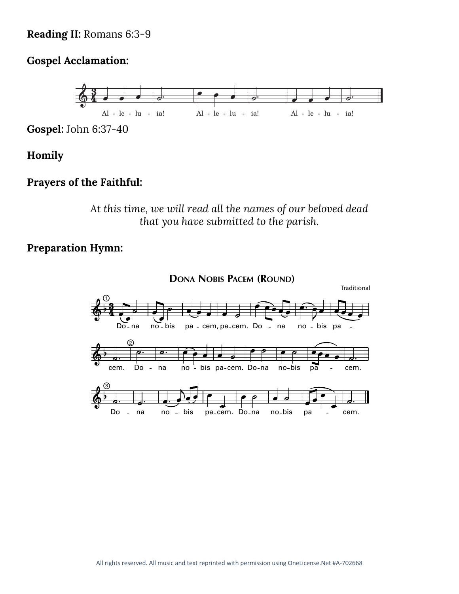### Reading II: Romans 6:3-9

#### **Gospel Acclamation:**



**Gospel:** John 6:37-40

#### **Homily**

#### **Prayers of the Faithful:**

*At this time, we will read all the names of our beloved dead that you have submitted to the parish.*

#### **Preparation Hymn:**

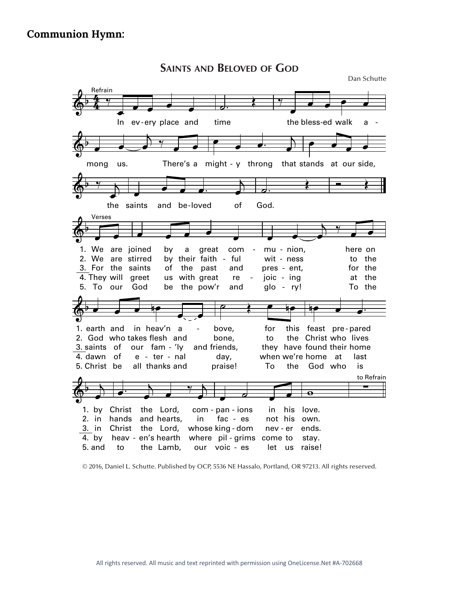**SAINTS AND BELOVED OF GOD** Dan Schutte  $\oint$ Refrain<br>4 % œ œ œ œ œ In ev ery place and  $\overrightarrow{a}$ . time ‰  $\overline{\phantom{a}}$ œ œ œ œ the bless-ed walk a  $\overline{\mathbb{Q}}$  $\overrightarrow{c}$  $\frac{1}{2}$   $\frac{9}{2}$   $\frac{1}{2}$ mong us. There's a might - y throng that œ  $\overrightarrow{e}$   $\overrightarrow{e}$  $\overline{\phantom{a}}$ œ œ œ œ that stands at our side,  $\phi$   $\rightarrow$   $\rightarrow$ œ the saints  $\overline{\phantom{a}}$  $\bullet$   $\bullet$   $\bullet$   $\bullet$ œ saints and be loved of -  $\overrightarrow{a}$ . God.  $\overline{\mathbf{r}}$  $\overline{\mathbb{Q}}$  $\overline{\phantom{a}}$ 3. For the saints 1. We are joined 2. We are stirred 4. They will greet 5. To our Verses œ œ œ œ  $\overline{\phantom{a}}$ God of by by their faith - ful us with great be the pow'r the past a great and com re and  $\overrightarrow{c}$ œ ‰  $\overrightarrow{e}$ pres - ent, mu - nion, wit - ness joic - ing glo - ry! for the here on to the at the To the - -  $\Leftrightarrow$   $\bullet$   $\bullet$   $\bullet$ —<br>●<del> </del> 3. saints of 1. earth and 2. God who takes flesh and 4. dawn of 5. Christ be our fam - 'ly in heav'n a e - ter - nal all thanks and and friends,  $\overrightarrow{r}$ bove, bone, day, praise! they have found their home for to when we're home at To - bove, for this feast pre-pared the Christ who lives the God who nœ œ œ. last is  $\overset{\circ}{\circ}$ œ 3. in Christ the Lord, whose king-dom 1. by Christ the Lord, 2. in hands and hearts, by 4. 5. and  $\qquad \qquad$  $\begin{matrix} \uparrow \end{matrix}$  $\rightarrow$ œ heav - en's hearth where pil - grims come to to the Lamb, com - pan - ions in our voic - es œ ˙ œ œ fac - es nev - er in his not his let us raise!  $\overline{\mathbf{e}}$ ends. love. own. stay. ∑ to Refrain

© 2016, Daniel L. Schutte. Published by OCP, 5536 NE Hassalo, Portland, OR 97213. All rights reserved.